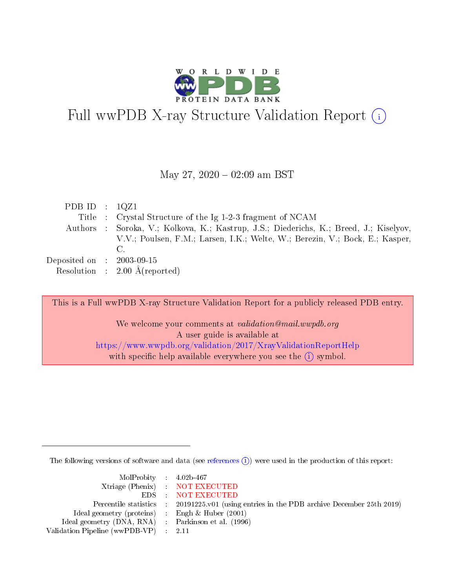

# Full wwPDB X-ray Structure Validation Report  $(i)$

#### May 27,  $2020 - 02:09$  am BST

| PDB ID : $1QZ1$             |                                                                                        |
|-----------------------------|----------------------------------------------------------------------------------------|
|                             | Title : Crystal Structure of the Ig 1-2-3 fragment of NCAM                             |
|                             | Authors : Soroka, V.; Kolkova, K.; Kastrup, J.S.; Diederichs, K.; Breed, J.; Kiselyov, |
|                             | V.V.; Poulsen, F.M.; Larsen, I.K.; Welte, W.; Berezin, V.; Bock, E.; Kasper,           |
|                             | C.                                                                                     |
| Deposited on : $2003-09-15$ |                                                                                        |
|                             | Resolution : $2.00 \text{ Å}$ (reported)                                               |

This is a Full wwPDB X-ray Structure Validation Report for a publicly released PDB entry. We welcome your comments at validation@mail.wwpdb.org A user guide is available at <https://www.wwpdb.org/validation/2017/XrayValidationReportHelp> with specific help available everywhere you see the  $(i)$  symbol.

The following versions of software and data (see [references](https://www.wwpdb.org/validation/2017/XrayValidationReportHelp#references)  $\overline{(1)}$ ) were used in the production of this report:

| MolProbity 4.02b-467                                |                                                                                            |
|-----------------------------------------------------|--------------------------------------------------------------------------------------------|
|                                                     | Xtriage (Phenix) NOT EXECUTED                                                              |
|                                                     | EDS : NOT EXECUTED                                                                         |
|                                                     | Percentile statistics : 20191225.v01 (using entries in the PDB archive December 25th 2019) |
| Ideal geometry (proteins) :                         | Engh $\&$ Huber (2001)                                                                     |
| Ideal geometry (DNA, RNA) : Parkinson et al. (1996) |                                                                                            |
| Validation Pipeline (wwPDB-VP) : 2.11               |                                                                                            |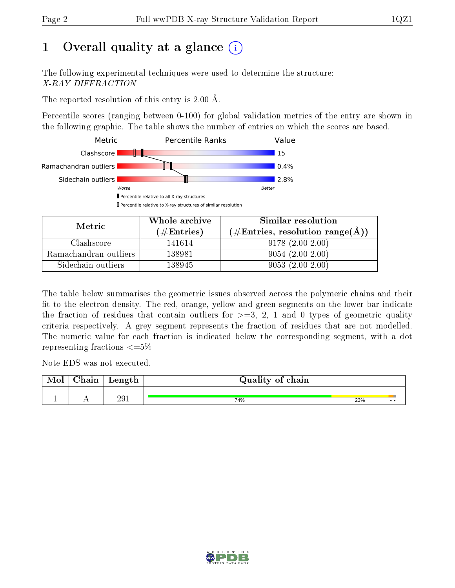# 1 [O](https://www.wwpdb.org/validation/2017/XrayValidationReportHelp#overall_quality)verall quality at a glance  $(i)$

The following experimental techniques were used to determine the structure: X-RAY DIFFRACTION

The reported resolution of this entry is 2.00 Å.

Percentile scores (ranging between 0-100) for global validation metrics of the entry are shown in the following graphic. The table shows the number of entries on which the scores are based.



| Metric                | Whole archive       | Similar resolution                                       |  |  |
|-----------------------|---------------------|----------------------------------------------------------|--|--|
|                       | (# $\rm{Entries}$ ) | $(\#\text{Entries}, \text{resolution range}(\text{\AA})$ |  |  |
| Clashscore            | 141614              | $9178(2.00-2.00)$                                        |  |  |
| Ramachandran outliers | 138981              | $9054(2.00-2.00)$                                        |  |  |
| Sidechain outliers    | 138945              | $9053(2.00-2.00)$                                        |  |  |

The table below summarises the geometric issues observed across the polymeric chains and their fit to the electron density. The red, orange, yellow and green segments on the lower bar indicate the fraction of residues that contain outliers for  $\geq=3$ , 2, 1 and 0 types of geometric quality criteria respectively. A grey segment represents the fraction of residues that are not modelled. The numeric value for each fraction is indicated below the corresponding segment, with a dot representing fractions  $\leq=5\%$ 

Note EDS was not executed.

| Mol | $\cap$ hain | $\alpha$ $\alpha$ + $\alpha$<br>reugen | Quality of chain |     |              |
|-----|-------------|----------------------------------------|------------------|-----|--------------|
|     |             |                                        |                  |     |              |
|     |             | 291                                    | 74%              | 23% | $\cdot\cdot$ |

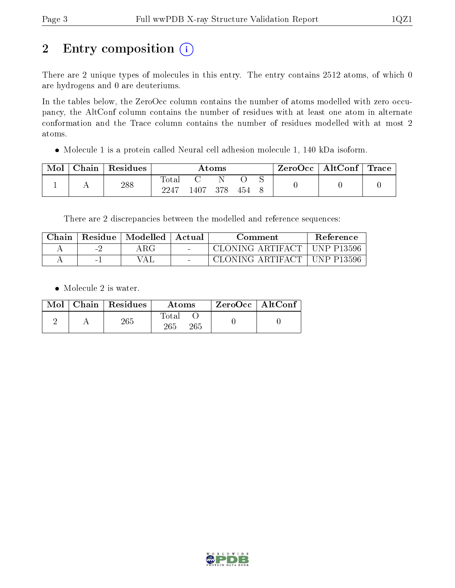# 2 Entry composition (i)

There are 2 unique types of molecules in this entry. The entry contains 2512 atoms, of which 0 are hydrogens and 0 are deuteriums.

In the tables below, the ZeroOcc column contains the number of atoms modelled with zero occupancy, the AltConf column contains the number of residues with at least one atom in alternate conformation and the Trace column contains the number of residues modelled with at most 2 atoms.

Molecule 1 is a protein called Neural cell adhesion molecule 1, 140 kDa isoform.

| Mol | ${\rm Chain}$ | Residues | Atoms              |      |     | $\text{ZeroOcc} \mid \text{AltConf} \mid \text{Trace}$ |  |  |  |
|-----|---------------|----------|--------------------|------|-----|--------------------------------------------------------|--|--|--|
|     |               | 288      | $\tau_{\rm{otal}}$ |      |     |                                                        |  |  |  |
|     |               |          | 2247               | 1407 | 378 | 454                                                    |  |  |  |

There are 2 discrepancies between the modelled and reference sequences:

| Chain | Residue | Modelled | ' Actual | Comment                       | <b>Reference</b> |
|-------|---------|----------|----------|-------------------------------|------------------|
|       | i vite  | 4 R.G    | $\sim$   | CLONING ARTIFACT   UNP P13596 |                  |
|       |         | ΆI.      | $\sim$   | CLONING ARTIFACT              | ⊥UNP P13596      |

• Molecule 2 is water.

|  | $Mol$   Chain   Residues | Atoms               | $ZeroOcc \   \ AltConf$ |  |
|--|--------------------------|---------------------|-------------------------|--|
|  | 265                      | Total<br>265<br>265 |                         |  |

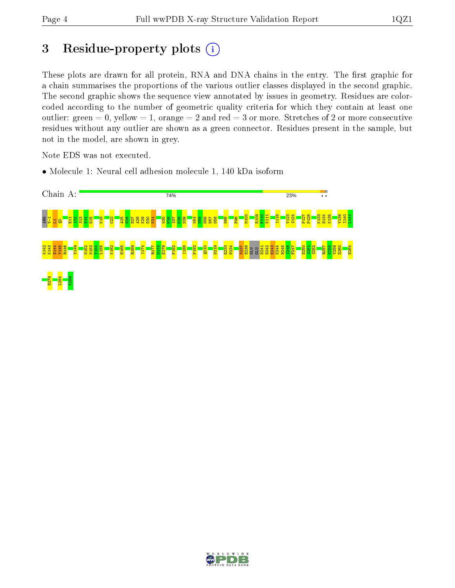## 3 Residue-property plots  $(i)$

These plots are drawn for all protein, RNA and DNA chains in the entry. The first graphic for a chain summarises the proportions of the various outlier classes displayed in the second graphic. The second graphic shows the sequence view annotated by issues in geometry. Residues are colorcoded according to the number of geometric quality criteria for which they contain at least one outlier: green  $= 0$ , yellow  $= 1$ , orange  $= 2$  and red  $= 3$  or more. Stretches of 2 or more consecutive residues without any outlier are shown as a green connector. Residues present in the sample, but not in the model, are shown in grey.

Note EDS was not executed.

• Molecule 1: Neural cell adhesion molecule 1, 140 kDa isoform



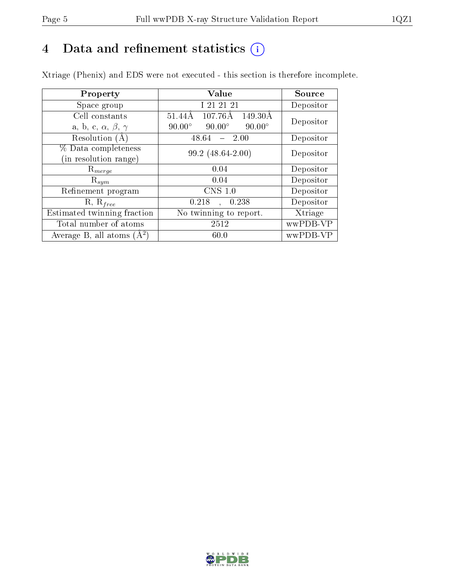## 4 Data and refinement statistics  $(i)$

Xtriage (Phenix) and EDS were not executed - this section is therefore incomplete.

| Property                               | Value                                           | Source    |  |
|----------------------------------------|-------------------------------------------------|-----------|--|
| Space group                            | I 21 21 21                                      | Depositor |  |
| Cell constants                         | 107.76Å<br>149.30Å<br>51.44Å                    | Depositor |  |
| a, b, c, $\alpha$ , $\beta$ , $\gamma$ | $90.00^\circ$<br>$90.00^\circ$<br>$90.00^\circ$ |           |  |
| Resolution (A)                         | 48.64<br>2.00                                   | Depositor |  |
| % Data completeness                    | 99.2 (48.64-2.00)                               | Depositor |  |
| (in resolution range)                  |                                                 |           |  |
| $\mathrm{R}_{merge}$                   | 0.04                                            | Depositor |  |
| $\mathrm{R}_{sym}$                     | 0.04                                            | Depositor |  |
| Refinement program                     | $CNS$ 1.0                                       | Depositor |  |
| $R, R_{free}$                          | 0.218<br>0.238                                  | Depositor |  |
| Estimated twinning fraction            | No twinning to report.                          | Xtriage   |  |
| Total number of atoms                  | 2512                                            | wwPDB-VP  |  |
| Average B, all atoms $(A^2)$           | 60.0                                            | wwPDB-VP  |  |

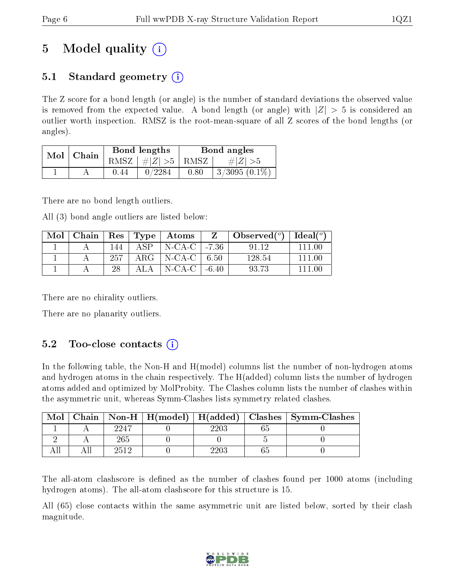# 5 Model quality  $(i)$

## 5.1 Standard geometry  $\overline{()}$

The Z score for a bond length (or angle) is the number of standard deviations the observed value is removed from the expected value. A bond length (or angle) with  $|Z| > 5$  is considered an outlier worth inspection. RMSZ is the root-mean-square of all Z scores of the bond lengths (or angles).

| Mol | Chain |       | Bond lengths                   | Bond angles |                 |  |
|-----|-------|-------|--------------------------------|-------------|-----------------|--|
|     |       |       | RMSZ $\mid \#Z \mid >5$   RMSZ |             | $\# Z  > 5$     |  |
|     |       | ().44 | 0/2284                         | 0.80        | $3/3095(0.1\%)$ |  |

There are no bond length outliers.

All (3) bond angle outliers are listed below:

| Mol |     |      | Chain   Res   Type   Atoms   | Observed $(^\circ)$   Ideal $(^\circ)$ |        |
|-----|-----|------|------------------------------|----------------------------------------|--------|
|     | 144 | ASP. | $\vert$ N-CA-C $\vert$ -7.36 | 91.12                                  | -111 M |
|     | 257 |      | ARG   N-CA-C   $6.50$        | 128.54                                 | 111 OO |
|     | 28  | ALA. | $\mid$ N-CA-C $\mid$ -6.40   | 93.73                                  | 111 OC |

There are no chirality outliers.

There are no planarity outliers.

## 5.2 Too-close contacts  $(i)$

In the following table, the Non-H and H(model) columns list the number of non-hydrogen atoms and hydrogen atoms in the chain respectively. The H(added) column lists the number of hydrogen atoms added and optimized by MolProbity. The Clashes column lists the number of clashes within the asymmetric unit, whereas Symm-Clashes lists symmetry related clashes.

| Mol |      |            | Chain   Non-H   H(model)   H(added)   Clashes   Symm-Clashes |
|-----|------|------------|--------------------------------------------------------------|
|     | 2247 | 2203       |                                                              |
|     | 265  |            |                                                              |
|     | 2512 | $\rm 2203$ |                                                              |

The all-atom clashscore is defined as the number of clashes found per 1000 atoms (including hydrogen atoms). The all-atom clashscore for this structure is 15.

All (65) close contacts within the same asymmetric unit are listed below, sorted by their clash magnitude.

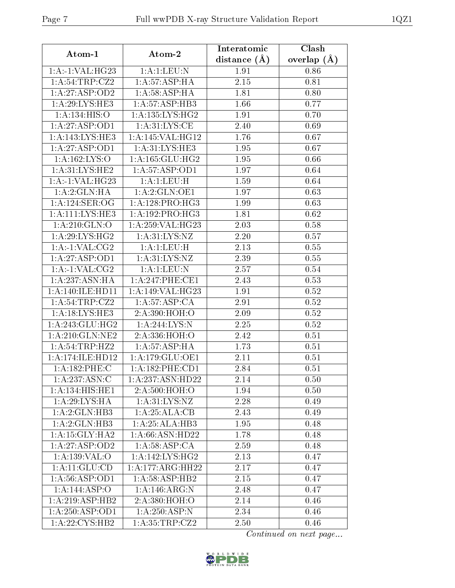| Atom-1                             | Atom-2                     | Interatomic      | Clash         |  |
|------------------------------------|----------------------------|------------------|---------------|--|
|                                    |                            | distance $(\AA)$ | overlap $(A)$ |  |
| 1:A:1:VAL:H G23                    | 1:A:1:LEU:N                | 1.91             | 0.86          |  |
| 1: A:54:TRP:CZ2                    | 1:A:57:ASP:HA              | 2.15             | 0.81          |  |
| 1:A:27:ASP:OD2                     | 1: A:58:ASP:HA             | 1.81             | 0.80          |  |
| 1:A:29:LYS:HE3                     | 1: A:57:ASP:HB3            | 1.66             | 0.77          |  |
| 1:A:134:HIS:O                      | 1: A: 135: LYS: HG2        | 1.91             | 0.70          |  |
| 1:A:27:ASP:OD1                     | 1: A:31:LYS:CE             | 2.40             | 0.69          |  |
| 1:A:143:LYS:HE3                    | 1:A:145:VAL:HG12           | 1.76             | 0.67          |  |
| 1:A:27:ASP:OD1                     | 1: A:31: LYS: HE3          | 1.95             | 0.67          |  |
| 1: A: 162: LYS: O                  | 1: A: 165: GLU: HG2        | 1.95             | 0.66          |  |
| 1: A:31: LYS: HE2                  | 1:A:57:ASP:OD1             | 1.97             | 0.64          |  |
| $1:A:-1:VAL:HG23$                  | 1:A:1:LEU:H                | 1.59             | 0.64          |  |
| 1:A:2:GLN:HA                       | 1:A:2:GLN:OE1              | 1.97             | 0.63          |  |
| $1:A:124:\overline{\text{SER}:OG}$ | 1: A:128: PRO:HG3          | 1.99             | 0.63          |  |
| 1:A:111:LYS:HE3                    | 1:A:192:PRO:HG3            | 1.81             | 0.62          |  |
| 1: A:210: GLN:O                    | 1:A:259:VAL:HG23           | 2.03             | 0.58          |  |
| 1: A:29: LYS: HG2                  | 1: A: 31: LYS: NZ          | 2.20             | 0.57          |  |
| 1:A:1:VAL:CG2                      | 1:A:1:LEU:H                | 2.13             | 0.55          |  |
| 1:A:27:ASP:OD1                     | $1:A.\overline{31:LYS:NZ}$ | 2.39             | 0.55          |  |
| 1:A:1:VAL:CG2                      | 1:A:1:EU:N                 | 2.57             | 0.54          |  |
| 1:A:237:ASN:HA                     | 1:A:247:PHE:CE1            | 2.43             | 0.53          |  |
| 1: A:140: ILE: HDI1                | 1:A:149:VAL:HG23           | 1.91             | 0.52          |  |
| 1:A:54:TRP:CZ2                     | 1: A:57:ASP:CA             | 2.91             | 0.52          |  |
| 1:A:18:LYS:HE3                     | 2:A:390:HOH:O              | 2.09             | 0.52          |  |
| 1: A:243: GLU:HG2                  | 1:A:244:LYS:N              | 2.25             | 0.52          |  |
| 1:A:210:GLN:NE2                    | 2:A:336:HOH:O              | 2.42             | 0.51          |  |
| 1:A:54:TRP:HZ2                     | 1: A:57:ASP:HA             | 1.73             | 0.51          |  |
| 1: A:174: ILE: HD12                | 1:A:179:GLU:OE1            | 2.11             | 0.51          |  |
| 1:A:182:PHE:C                      | 1:A:182:PHE:CD1            | 2.84             | 0.51          |  |
| 1:A:237:ASN:C                      | 1:A:237:ASN:HD22           | 2.14             | 0.50          |  |
| 1:A:134:HIS:HE1                    | 2:A:500:HOH:O              | 1.94             | 0.50          |  |
| 1: A:29: LYS: HA                   | 1: A:31: LYS: NZ           | 2.28             | 0.49          |  |
| 1:A:2:GLN:HB3                      | 1:A:25:ALA:CB              | 2.43             | 0.49          |  |
| 1:A:2:GLN:HB3                      | 1: A:25: ALA:HB3           | 1.95             | 0.48          |  |
| 1:A:15:GLY:HA2                     | 1: A:66: ASN:HD22          | 1.78             | 0.48          |  |
| 1:A:27:ASP:OD2                     | 1:A:58:ASP:CA              | 2.59             | 0.48          |  |
| 1: A: 139: VAL: O                  | 1: A:142:LYS:HG2           | 2.13             | 0.47          |  |
| 1: A:11: GLU:CD                    | 1:A:177:ARG:HH22           | 2.17             | 0.47          |  |
| 1: A:56: ASP:OD1                   | 1: A:58:ASP:HB2            | 2.15             | 0.47          |  |
| 1:A:144:ASP:O                      | 1: A:146: ARG: N           | 2.48             | 0.47          |  |
| 1:A:219:ASP:HB2                    | 2:A:380:HOH:O              | 2.14             | 0.46          |  |
| 1:A:250:ASP:OD1                    | $1:A:250:ASP:\overline{N}$ | 2.34             | 0.46          |  |
| 1: A:22: CYS:HB2                   | 1:A:35:TRP:CZ2             | 2.50             | 0.46          |  |

Continued on next page...

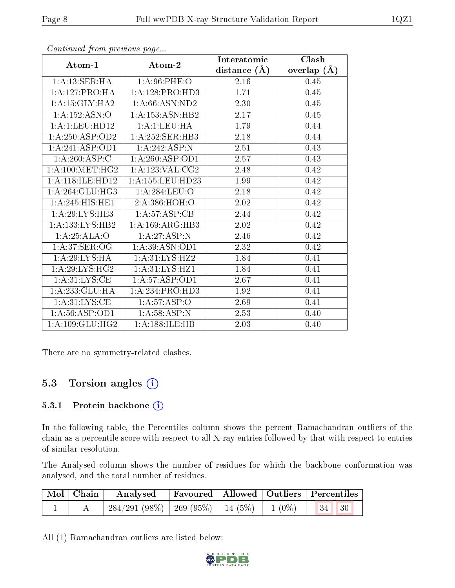|                              |                               | Interatomic    | Clash         |
|------------------------------|-------------------------------|----------------|---------------|
| Atom-1                       | Atom-2                        | distance $(A)$ | overlap $(A)$ |
| 1: A: 13: SER: HA            | 1: A:96:PHE:O                 | 2.16           | 0.45          |
| 1:A:127:PRO:HA               | 1:A:128:PRO:HD3               | 1.71           | 0.45          |
| 1:A:15:GLY:HA2               | 1: A:66: ASN:ND2              | 2.30           | 0.45          |
| 1:A:152:ASN:O                | 1: A: 153: ASN: HB2           | 2.17           | 0.45          |
| 1:A:1:LEU:HD12               | 1:A:1:LEU:HA                  | 1.79           | 0.44          |
| 1: A:250: ASP:OD2            | 1:A:252:SER:HB3               | 2.18           | 0.44          |
| 1:A:241:ASP:OD1              | 1:A:242:ASP:N                 | 2.51           | 0.43          |
| 1: A:260:ASP:C               | 1:A:260:ASP:OD1               | 2.57           | 0.43          |
| 1: A:100:MET:HG2             | 1:A:123:VAL:CG2               | 2.48           | 0.42          |
| 1:A:118:ILE:HD12             | 1:A:155:LEU:HD23              | 1.99           | 0.42          |
| 1: A:264: GLU:HG3            | 1:A:284:LEU:O                 | 2.18           | 0.42          |
| $1:A:245:HIS:\overline{HE1}$ | 2: A:386:HOH:O                | 2.02           | 0.42          |
| $1:\!A\!:\!29:\!LYS\!:\!HE3$ | 1:A:57:ASP:CB                 | 2.44           | 0.42          |
| 1:A:133:LYS:HB2              | 1:A:169:ARG:HB3               | 2.02           | 0.42          |
| 1:A:25:ALA:O                 | 1:A:27:ASP:N                  | 2.46           | 0.42          |
| 1: A:37: SER:OG              | $1:A:39:ASN:O\overline{D1}$   | 2.32           | 0.42          |
| 1: A:29: LYS: HA             | 1: A:31: LYS: HZ2             | 1.84           | 0.41          |
| 1:A:29:LYS:HG2               | 1: A:31: LYS: HZ1             | 1.84           | 0.41          |
| 1: A:31:LYS:CE               | $1: A:57: \overline{ASP:OD1}$ | 2.67           | 0.41          |
| 1:A:233:GLU:HA               | 1:A:234:PRO:HD3               | 1.92           | 0.41          |
| 1: A:31:LYS:CE               | $1:A:57:\overline{ASP:O}$     | 2.69           | 0.41          |
| 1: A:56: ASP:OD1             | 1: A:58:ASP:N                 | 2.53           | 0.40          |
| 1: A: 109: GLU: HG2          | 1: A: 188: ILE: HB            | 2.03           | 0.40          |

Continued from previous page...

There are no symmetry-related clashes.

## 5.3 Torsion angles  $(i)$

#### 5.3.1 Protein backbone (i)

In the following table, the Percentiles column shows the percent Ramachandran outliers of the chain as a percentile score with respect to all X-ray entries followed by that with respect to entries of similar resolution.

The Analysed column shows the number of residues for which the backbone conformation was analysed, and the total number of residues.

| $\mid$ Mol $\mid$ Chain $\mid$ | Analysed Favoured   Allowed   Outliers   Percentiles |  |  |
|--------------------------------|------------------------------------------------------|--|--|
|                                |                                                      |  |  |

All (1) Ramachandran outliers are listed below:

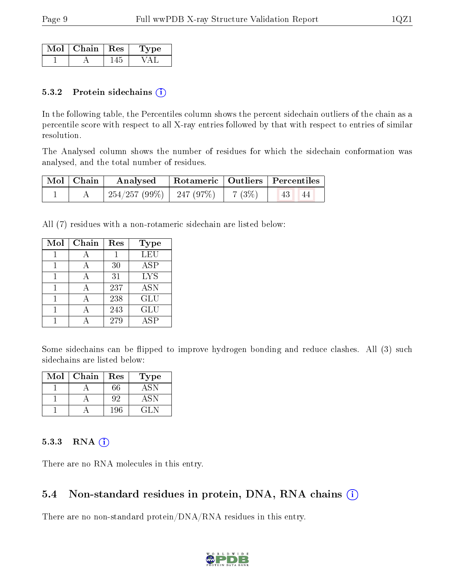| $Mol$   Chain   Res | ne. |
|---------------------|-----|
|                     |     |

#### 5.3.2 Protein sidechains (i)

In the following table, the Percentiles column shows the percent sidechain outliers of the chain as a percentile score with respect to all X-ray entries followed by that with respect to entries of similar resolution.

The Analysed column shows the number of residues for which the sidechain conformation was analysed, and the total number of residues.

| Mol   Chain | Analysed                      |        | Rotameric   Outliers   Percentiles |
|-------------|-------------------------------|--------|------------------------------------|
|             | $254/257 (99\%)$   247 (97\%) | 7 (3%) | 43 <br>44                          |

All (7) residues with a non-rotameric sidechain are listed below:

| Mol | Chain | Res | Type       |
|-----|-------|-----|------------|
|     |       |     | <b>LEU</b> |
|     |       | 30  | ASP        |
|     |       | 31  | <b>LYS</b> |
|     |       | 237 | <b>ASN</b> |
|     |       | 238 | GLU        |
|     |       | 243 | <b>GLU</b> |
|     |       | 279 | ASP        |

Some sidechains can be flipped to improve hydrogen bonding and reduce clashes. All (3) such sidechains are listed below:

| Mol | Chain | Res | Type   |
|-----|-------|-----|--------|
|     |       | 66  | ASN    |
|     |       | 92  |        |
|     |       | 196 | 64 D.N |

#### $5.3.3$  RNA  $(i)$

There are no RNA molecules in this entry.

### 5.4 Non-standard residues in protein, DNA, RNA chains (i)

There are no non-standard protein/DNA/RNA residues in this entry.

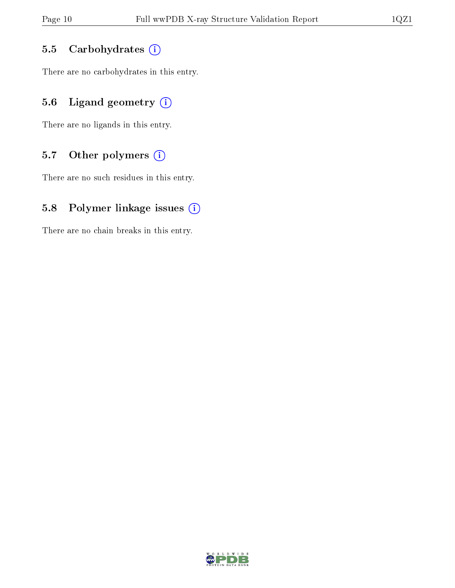#### 5.5 Carbohydrates (i)

There are no carbohydrates in this entry.

## 5.6 Ligand geometry  $(i)$

There are no ligands in this entry.

## 5.7 [O](https://www.wwpdb.org/validation/2017/XrayValidationReportHelp#nonstandard_residues_and_ligands)ther polymers (i)

There are no such residues in this entry.

#### 5.8 Polymer linkage issues (i)

There are no chain breaks in this entry.